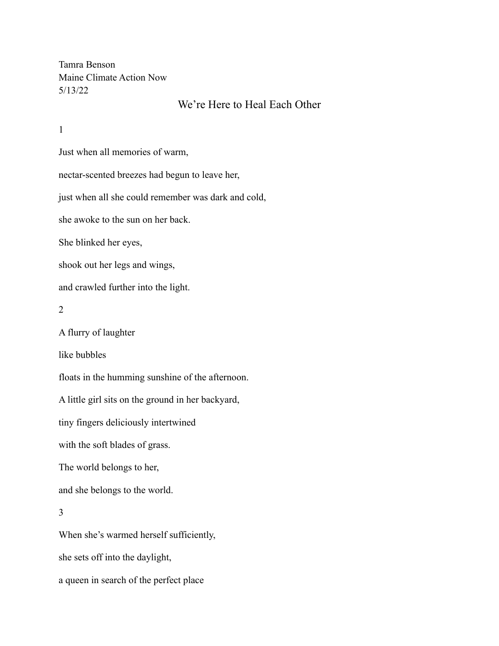Tamra Benson Maine Climate Action Now 5/13/22

## We're Here to Heal Each Other

1

Just when all memories of warm,

nectar-scented breezes had begun to leave her,

just when all she could remember was dark and cold,

she awoke to the sun on her back.

She blinked her eyes,

shook out her legs and wings,

and crawled further into the light.

```
2
```
A flurry of laughter

like bubbles

floats in the humming sunshine of the afternoon.

A little girl sits on the ground in her backyard,

tiny fingers deliciously intertwined

with the soft blades of grass.

The world belongs to her,

and she belongs to the world.

## 3

When she's warmed herself sufficiently, she sets off into the daylight, a queen in search of the perfect place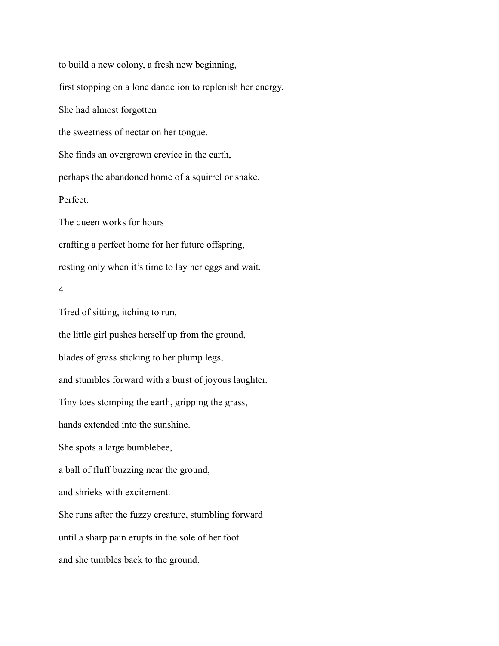to build a new colony, a fresh new beginning, first stopping on a lone dandelion to replenish her energy. She had almost forgotten the sweetness of nectar on her tongue. She finds an overgrown crevice in the earth, perhaps the abandoned home of a squirrel or snake. Perfect. The queen works for hours crafting a perfect home for her future offspring, resting only when it's time to lay her eggs and wait. 4 Tired of sitting, itching to run, the little girl pushes herself up from the ground, blades of grass sticking to her plump legs, and stumbles forward with a burst of joyous laughter. Tiny toes stomping the earth, gripping the grass, hands extended into the sunshine. She spots a large bumblebee, a ball of fluff buzzing near the ground, and shrieks with excitement. She runs after the fuzzy creature, stumbling forward until a sharp pain erupts in the sole of her foot and she tumbles back to the ground.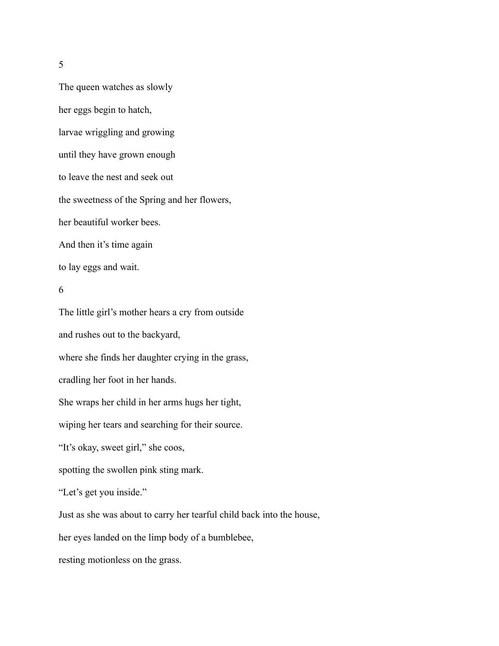5

The queen watches as slowly her eggs begin to hatch, larvae wriggling and growing until they have grown enough to leave the nest and seek out the sweetness of the Spring and her flowers, her beautiful worker bees. And then it's time again to lay eggs and wait.

## 6

The little girl's mother hears a cry from outside and rushes out to the backyard, where she finds her daughter crying in the grass, cradling her foot in her hands. She wraps her child in her arms hugs her tight, wiping her tears and searching for their source. "It's okay, sweet girl," she coos, spotting the swollen pink sting mark. "Let's get you inside." Just as she was about to carry her tearful child back into the house, her eyes landed on the limp body of a bumblebee,

resting motionless on the grass.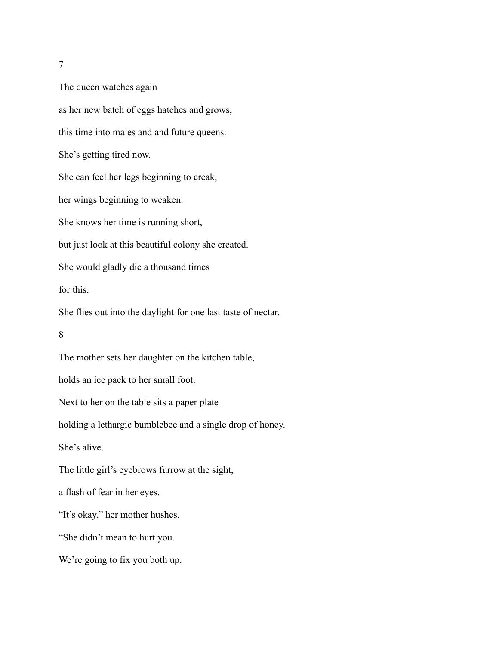7

The queen watches again as her new batch of eggs hatches and grows, this time into males and and future queens. She's getting tired now. She can feel her legs beginning to creak, her wings beginning to weaken. She knows her time is running short, but just look at this beautiful colony she created. She would gladly die a thousand times for this. She flies out into the daylight for one last taste of nectar. 8 The mother sets her daughter on the kitchen table, holds an ice pack to her small foot. Next to her on the table sits a paper plate holding a lethargic bumblebee and a single drop of honey. She's alive. The little girl's eyebrows furrow at the sight, a flash of fear in her eyes. "It's okay," her mother hushes. "She didn't mean to hurt you. We're going to fix you both up.